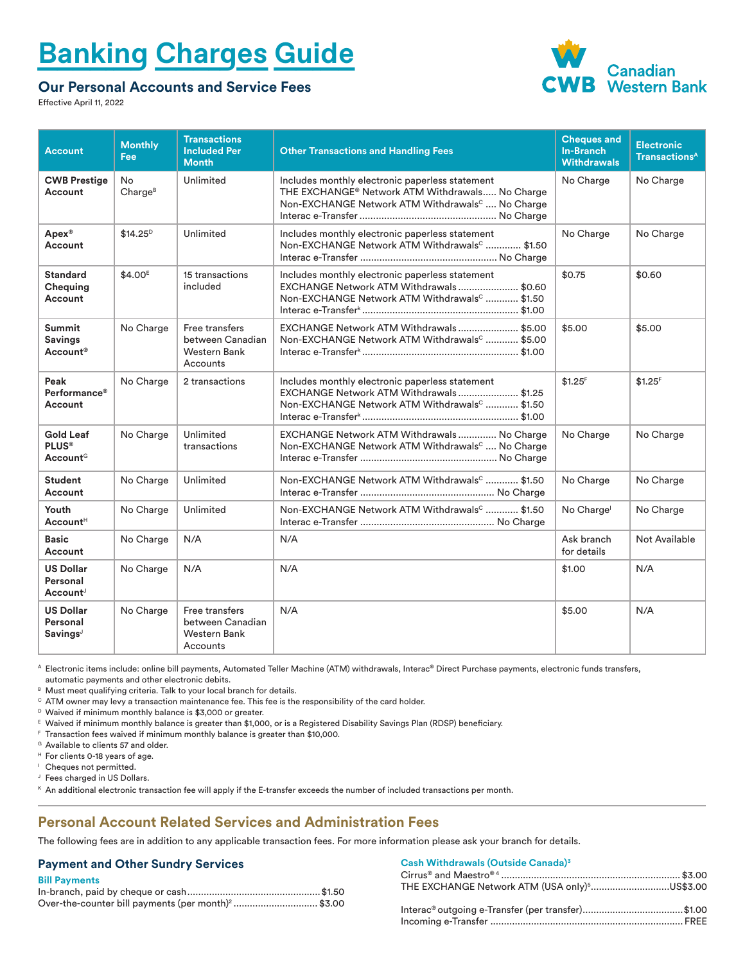# **Banking Charges Guide**

### **Our Personal Accounts and Service Fees**



Effective April 11, 2022

| <b>Account</b>                                           | <b>Monthly</b><br>Fee     | <b>Transactions</b><br><b>Included Per</b><br><b>Month</b>            | <b>Other Transactions and Handling Fees</b>                                                                                                                                   | <b>Cheques and</b><br><b>In-Branch</b><br><b>Withdrawals</b> | <b>Electronic</b><br><b>Transactions<sup>A</sup></b> |
|----------------------------------------------------------|---------------------------|-----------------------------------------------------------------------|-------------------------------------------------------------------------------------------------------------------------------------------------------------------------------|--------------------------------------------------------------|------------------------------------------------------|
| <b>CWB Prestige</b><br>Account                           | No<br>Charge <sup>B</sup> | Unlimited                                                             | Includes monthly electronic paperless statement<br>THE EXCHANGE <sup>®</sup> Network ATM Withdrawals No Charge<br>Non-EXCHANGE Network ATM Withdrawals <sup>c</sup> No Charge | No Charge                                                    | No Charge                                            |
| <b>Apex®</b><br>Account                                  | $$14.25^D$                | Unlimited                                                             | Includes monthly electronic paperless statement<br>Non-EXCHANGE Network ATM Withdrawals <sup>c</sup> \$1.50                                                                   | No Charge                                                    | No Charge                                            |
| <b>Standard</b><br>Chequing<br>Account                   | \$4.00 <sup>E</sup>       | 15 transactions<br>included                                           | Includes monthly electronic paperless statement<br>EXCHANGE Network ATM Withdrawals\$0.60<br>Non-EXCHANGE Network ATM Withdrawals <sup>c</sup> \$1.50                         | \$0.75                                                       | \$0.60                                               |
| <b>Summit</b><br><b>Savings</b><br>Account <sup>®</sup>  | No Charge                 | Free transfers<br>between Canadian<br><b>Western Bank</b><br>Accounts | EXCHANGE Network ATM Withdrawals\$5.00<br>Non-EXCHANGE Network ATM Withdrawals <sup>c</sup> \$5.00                                                                            | \$5.00                                                       | \$5.00                                               |
| Peak<br>Performance <sup>®</sup><br>Account              | No Charge                 | 2 transactions                                                        | Includes monthly electronic paperless statement<br>EXCHANGE Network ATM Withdrawals\$1.25<br>Non-EXCHANGE Network ATM Withdrawals <sup>c</sup> \$1.50                         | $$1.25$ <sup>F</sup>                                         | $$1.25$ <sup>F</sup>                                 |
| <b>Gold Leaf</b><br><b>PLUS®</b><br>Account <sup>G</sup> | No Charge                 | Unlimited<br>transactions                                             | EXCHANGE Network ATM Withdrawals  No Charge<br>Non-EXCHANGE Network ATM Withdrawals <sup>c</sup> No Charge                                                                    | No Charge                                                    | No Charge                                            |
| <b>Student</b><br>Account                                | No Charge                 | Unlimited                                                             | Non-EXCHANGE Network ATM Withdrawals <sup>c</sup> \$1.50                                                                                                                      | No Charge                                                    | No Charge                                            |
| Youth<br>Account <sup>H</sup>                            | No Charge                 | Unlimited                                                             | Non-EXCHANGE Network ATM Withdrawals <sup>c</sup> \$1.50                                                                                                                      | No Charge <sup>1</sup>                                       | No Charge                                            |
| <b>Basic</b><br>Account                                  | No Charge                 | N/A                                                                   | N/A                                                                                                                                                                           | Ask branch<br>for details                                    | <b>Not Available</b>                                 |
| <b>US Dollar</b><br>Personal<br>Account <sup>J</sup>     | No Charge                 | N/A                                                                   | N/A                                                                                                                                                                           | \$1.00                                                       | N/A                                                  |
| <b>US Dollar</b><br>Personal<br>Savings                  | No Charge                 | Free transfers<br>between Canadian<br>Western Bank<br>Accounts        | N/A                                                                                                                                                                           | \$5.00                                                       | N/A                                                  |

A Electronic items include: online bill payments, Automated Teller Machine (ATM) withdrawals, Interac**®** Direct Purchase payments, electronic funds transfers, automatic payments and other electronic debits.

B Must meet qualifying criteria. Talk to your local branch for details.

 $\circ$  ATM owner may levy a transaction maintenance fee. This fee is the responsibility of the card holder.<br><sup>D</sup> Waived if minimum monthly balance is \$3,000 or greater.

<sup>E</sup> Waived if minimum monthly balance is greater than \$1,000, or is a Registered Disability Savings Plan (RDSP) beneficiary.

F Transaction fees waived if minimum monthly balance is greater than \$10,000.

<sup>G</sup> Available to clients 57 and older.

<sup>H</sup> For clients 0-18 years of age.

<sup>1</sup> Cheques not permitted.

J Fees charged in US Dollars.

 $K$  An additional electronic transaction fee will apply if the E-transfer exceeds the number of included transactions per month.

#### **Personal Account Related Services and Administration Fees**

The following fees are in addition to any applicable transaction fees. For more information please ask your branch for details.

#### **Payment and Other Sundry Services**

| <b>Bill Payments</b>                                           |  |
|----------------------------------------------------------------|--|
|                                                                |  |
| Over-the-counter bill payments (per month) <sup>2</sup> \$3.00 |  |

#### **Cash Withdrawals (Outside Canada)3**

| <u>Vash Withurawais (Vutsius Valiaua)</u>                 |  |
|-----------------------------------------------------------|--|
|                                                           |  |
| THE EXCHANGE Network ATM (USA only) <sup>5</sup> US\$3.00 |  |
|                                                           |  |
|                                                           |  |